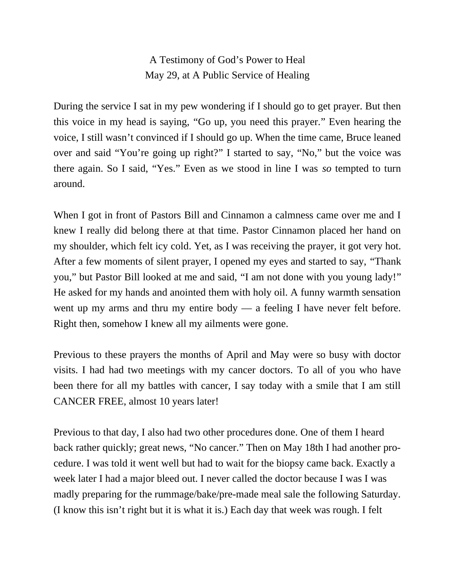A Testimony of God's Power to Heal May 29, at A Public Service of Healing

During the service I sat in my pew wondering if I should go to get prayer. But then this voice in my head is saying, "Go up, you need this prayer." Even hearing the voice, I still wasn't convinced if I should go up. When the time came, Bruce leaned over and said "You're going up right?" I started to say, "No," but the voice was there again. So I said, "Yes." Even as we stood in line I was *so* tempted to turn around.

When I got in front of Pastors Bill and Cinnamon a calmness came over me and I knew I really did belong there at that time. Pastor Cinnamon placed her hand on my shoulder, which felt icy cold. Yet, as I was receiving the prayer, it got very hot. After a few moments of silent prayer, I opened my eyes and started to say, "Thank you," but Pastor Bill looked at me and said, "I am not done with you young lady!" He asked for my hands and anointed them with holy oil. A funny warmth sensation went up my arms and thru my entire body — a feeling I have never felt before. Right then, somehow I knew all my ailments were gone.

Previous to these prayers the months of April and May were so busy with doctor visits. I had had two meetings with my cancer doctors. To all of you who have been there for all my battles with cancer, I say today with a smile that I am still CANCER FREE, almost 10 years later!

Previous to that day, I also had two other procedures done. One of them I heard back rather quickly; great news, "No cancer." Then on May 18th I had another procedure. I was told it went well but had to wait for the biopsy came back. Exactly a week later I had a major bleed out. I never called the doctor because I was I was madly preparing for the rummage/bake/pre-made meal sale the following Saturday. (I know this isn't right but it is what it is.) Each day that week was rough. I felt